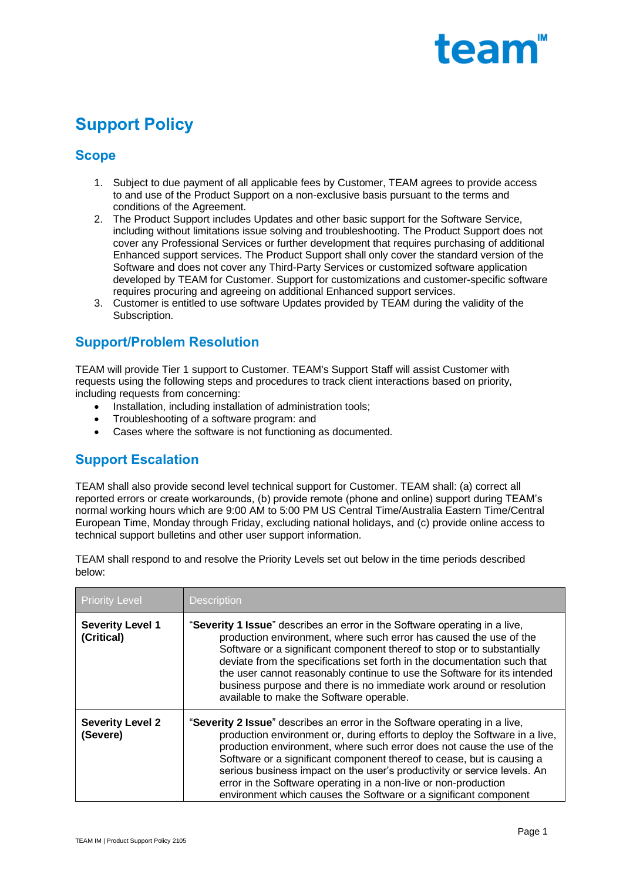

# **Support Policy**

## **Scope**

- 1. Subject to due payment of all applicable fees by Customer, TEAM agrees to provide access to and use of the Product Support on a non-exclusive basis pursuant to the terms and conditions of the Agreement.
- 2. The Product Support includes Updates and other basic support for the Software Service, including without limitations issue solving and troubleshooting. The Product Support does not cover any Professional Services or further development that requires purchasing of additional Enhanced support services. The Product Support shall only cover the standard version of the Software and does not cover any Third-Party Services or customized software application developed by TEAM for Customer. Support for customizations and customer-specific software requires procuring and agreeing on additional Enhanced support services.
- 3. Customer is entitled to use software Updates provided by TEAM during the validity of the Subscription.

# **Support/Problem Resolution**

TEAM will provide Tier 1 support to Customer. TEAM's Support Staff will assist Customer with requests using the following steps and procedures to track client interactions based on priority, including requests from concerning:

- Installation, including installation of administration tools;
- Troubleshooting of a software program: and
- Cases where the software is not functioning as documented.

### **Support Escalation**

TEAM shall also provide second level technical support for Customer. TEAM shall: (a) correct all reported errors or create workarounds, (b) provide remote (phone and online) support during TEAM's normal working hours which are 9:00 AM to 5:00 PM US Central Time/Australia Eastern Time/Central European Time, Monday through Friday, excluding national holidays, and (c) provide online access to technical support bulletins and other user support information.

TEAM shall respond to and resolve the Priority Levels set out below in the time periods described below:

| <b>Priority Level</b>                 | <b>Description</b>                                                                                                                                                                                                                                                                                                                                                                                                                                                                                                               |
|---------------------------------------|----------------------------------------------------------------------------------------------------------------------------------------------------------------------------------------------------------------------------------------------------------------------------------------------------------------------------------------------------------------------------------------------------------------------------------------------------------------------------------------------------------------------------------|
| <b>Severity Level 1</b><br>(Critical) | "Severity 1 Issue" describes an error in the Software operating in a live,<br>production environment, where such error has caused the use of the<br>Software or a significant component thereof to stop or to substantially<br>deviate from the specifications set forth in the documentation such that<br>the user cannot reasonably continue to use the Software for its intended<br>business purpose and there is no immediate work around or resolution<br>available to make the Software operable.                          |
| <b>Severity Level 2</b><br>(Severe)   | "Severity 2 Issue" describes an error in the Software operating in a live,<br>production environment or, during efforts to deploy the Software in a live,<br>production environment, where such error does not cause the use of the<br>Software or a significant component thereof to cease, but is causing a<br>serious business impact on the user's productivity or service levels. An<br>error in the Software operating in a non-live or non-production<br>environment which causes the Software or a significant component |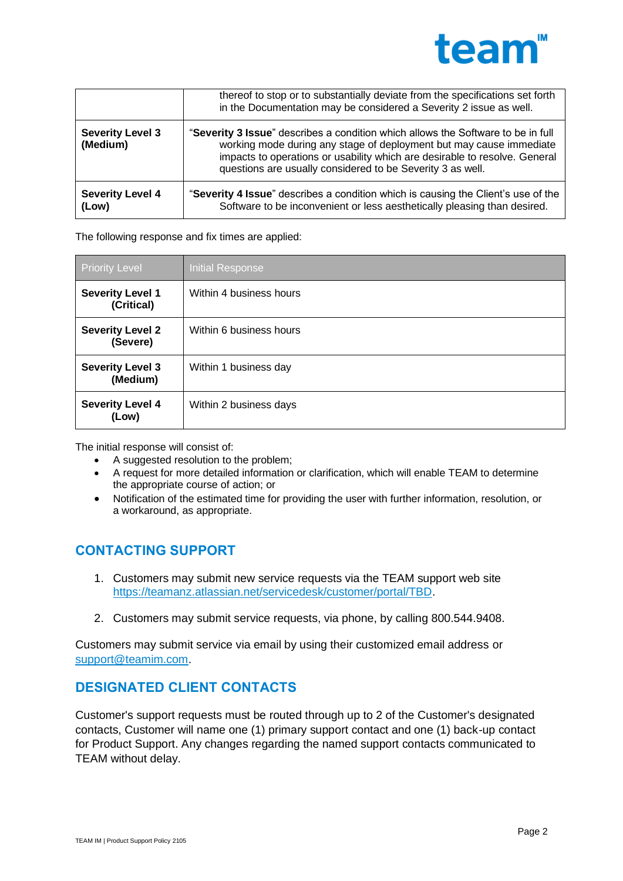

|                                     | thereof to stop or to substantially deviate from the specifications set forth<br>in the Documentation may be considered a Severity 2 issue as well.                                                                                                                                                 |
|-------------------------------------|-----------------------------------------------------------------------------------------------------------------------------------------------------------------------------------------------------------------------------------------------------------------------------------------------------|
| <b>Severity Level 3</b><br>(Medium) | "Severity 3 Issue" describes a condition which allows the Software to be in full<br>working mode during any stage of deployment but may cause immediate<br>impacts to operations or usability which are desirable to resolve. General<br>questions are usually considered to be Severity 3 as well. |
| <b>Severity Level 4</b><br>(Low)    | "Severity 4 Issue" describes a condition which is causing the Client's use of the<br>Software to be inconvenient or less aesthetically pleasing than desired.                                                                                                                                       |

The following response and fix times are applied:

| <b>Priority Level</b>                 | Initial Response        |
|---------------------------------------|-------------------------|
| <b>Severity Level 1</b><br>(Critical) | Within 4 business hours |
| <b>Severity Level 2</b><br>(Severe)   | Within 6 business hours |
| <b>Severity Level 3</b><br>(Medium)   | Within 1 business day   |
| <b>Severity Level 4</b><br>(Low)      | Within 2 business days  |

The initial response will consist of:

- A suggested resolution to the problem;
- A request for more detailed information or clarification, which will enable TEAM to determine the appropriate course of action; or
- Notification of the estimated time for providing the user with further information, resolution, or a workaround, as appropriate.

# **CONTACTING SUPPORT**

- 1. Customers may submit new service requests via the TEAM support web site [https://teamanz.atlassian.net/servicedesk/customer/portal/TBD.](https://teamanz.atlassian.net/servicedesk/customer/portal/TBD)
- 2. Customers may submit service requests, via phone, by calling 800.544.9408.

Customers may submit service via email by using their customized email address or [support@teamim.com.](mailto:support@teamim.com)

### **DESIGNATED CLIENT CONTACTS**

Customer's support requests must be routed through up to 2 of the Customer's designated contacts, Customer will name one (1) primary support contact and one (1) back-up contact for Product Support. Any changes regarding the named support contacts communicated to TEAM without delay.